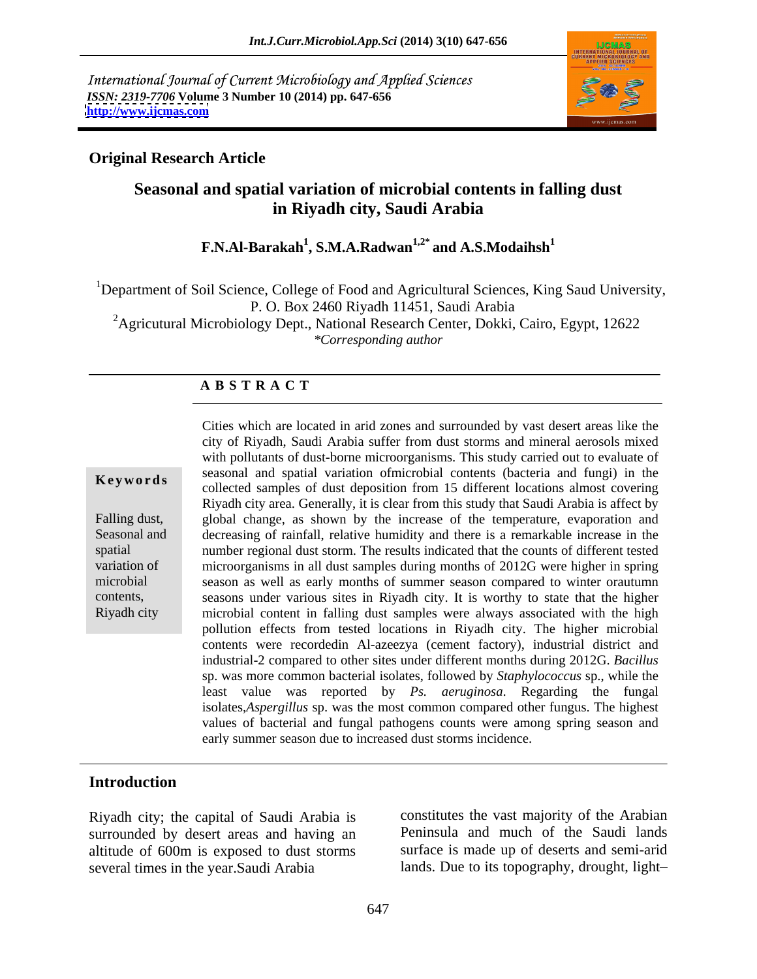International Journal of Current Microbiology and Applied Sciences *ISSN: 2319-7706* **Volume 3 Number 10 (2014) pp. 647-656 <http://www.ijcmas.com>**



## **Original Research Article**

# **Seasonal and spatial variation of microbial contents in falling dust in Riyadh city, Saudi Arabia**

**F.N.Al-Barakah<sup>1</sup> , S.M.A.Radwan1,2\* and A.S.Modaihsh<sup>1</sup>**

<sup>1</sup>Department of Soil Science, College of Food and Agricultural Sciences, King Saud University, P. O. Box 2460 Riyadh 11451, Saudi Arabia

<sup>2</sup>Agricutural Microbiology Dept., National Research Center, Dokki, Cairo, Egypt, 12622 *\*Corresponding author*

### **A B S T R A C T**

**Keywords**collected samples of dust deposition from 15 different locations almost covering Falling dust, global change, as shown by the increase of the temperature, evaporation and Seasonal and decreasing of rainfall, relative humidity and there is a remarkable increase in the spatial number regional dust storm. The results indicated that the counts of different tested variation of microorganisms in all dust samples during months of 2012G were higher in spring microbial season as well as early months of summer season compared to winter orautumn contents, seasons under various sites in Riyadh city. It is worthy to state that the higher Riyadh city microbial content in falling dust samples were always associated with the high Cities which are located in arid zones and surrounded by vast desert areas like the city of Riyadh, Saudi Arabia suffer from dust storms and mineral aerosols mixed with pollutants of dust-borne microorganisms. This study carried out to evaluate of seasonal and spatial variation ofmicrobial contents (bacteria and fungi) in the Riyadh city area. Generally, it is clear from this study that Saudi Arabia is affect by pollution effects from tested locations in Riyadh city. The higher microbial contents were recordedin Al-azeezya (cement factory), industrial district and industrial-2 compared to other sites under different months during 2012G. *Bacillus* sp. was more common bacterial isolates, followed by *Staphylococcus* sp., while the least value was reported by *Ps. aeruginosa*. Regarding the fungal isolates,*Aspergillus* sp. was the most common compared other fungus. The highest values of bacterial and fungal pathogens counts were among spring season and early summer season due to increased dust storms incidence.

### **Introduction**

Riyadh city; the capital of Saudi Arabia is surrounded by desert areas and having an several times in the year.Saudi Arabia lands. Due to its topography, drought, light

altitude of 600m is exposed to dust storms surface is made up of deserts and semi-arid constitutes the vast majority of the Arabian Peninsula and much of the Saudi lands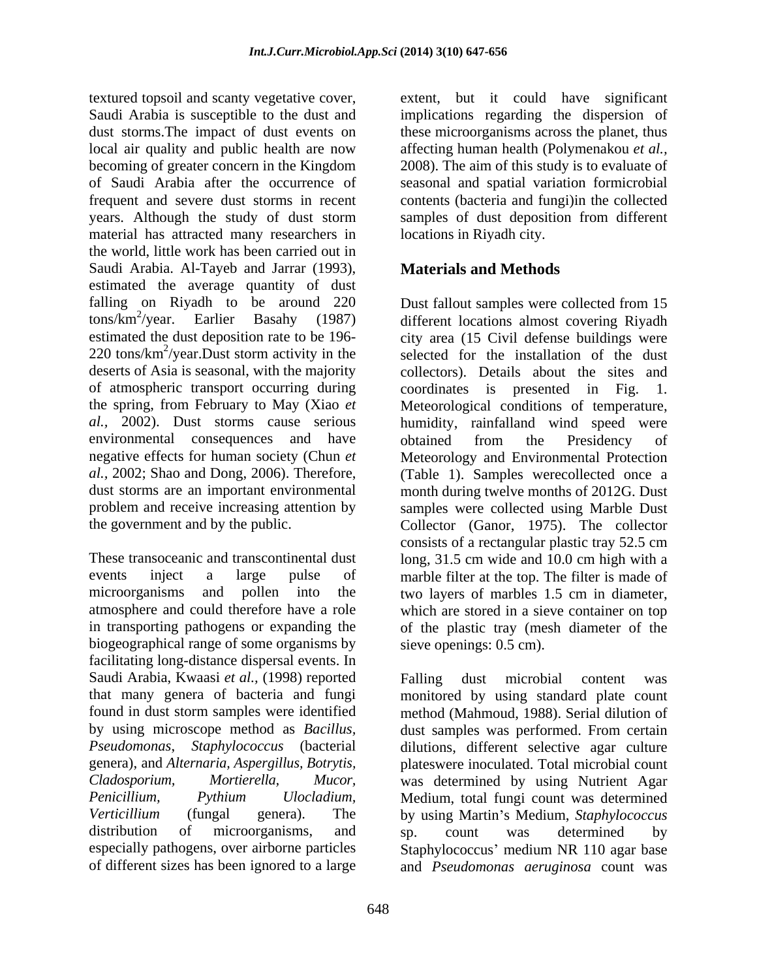textured topsoil and scanty vegetative cover, extent, but it could have significant Saudi Arabia is susceptible to the dust and implications regarding the dispersion of dust storms.The impact of dust events on these microorganisms across the planet, thus local air quality and public health are now affecting human health (Polymenakou *et al.,* becoming of greater concern in the Kingdom 2008). The aim of this study is to evaluate of of Saudi Arabia after the occurrence of seasonal and spatial variation formicrobial frequent and severe dust storms in recent contents (bacteria and fungi)in the collected years. Although the study of dust storm samples of dust deposition from different material has attracted many researchers in the world, little work has been carried out in Saudi Arabia. Al-Tayeb and Jarrar (1993), estimated the average quantity of dust falling on Riyadh to be around 220 Dust fallout samples were collected from 15 tons/km<sup>2</sup> /year. Earlier Basahy (1987) different locations almost covering Riyadh estimated the dust deposition rate to be 196- city area (15 Civil defense buildings were 220 tons/km<sup>2</sup>/year.Dust storm activity in the selected for the installation of the dust deserts of Asia is seasonal, with the majority of atmospheric transport occurring during coordinates is presented in Fig. 1. the spring, from February to May (Xiao *et*  Meteorological conditions of temperature, *al.,* 2002). Dust storms cause serious humidity, rainfalland wind speed were environmental consequences and have obtained from the Presidency of negative effects for human society (Chun *et*  Meteorology and Environmental Protection *al.,* 2002; Shao and Dong, 2006). Therefore, (Table 1). Samples werecollected once a dust storms are an important environmental month during twelve months of 2012G. Dust problem and receive increasing attention by samples were collected using Marble Dust the government and by the public. Collector (Ganor, 1975). The collector

These transoceanic and transcontinental dust long, 31.5 cm wide and 10.0 cm high with a events inject a large pulse of marble filter at the top. The filter is made of microorganisms and pollen into the two layers of marbles 1.5 cm in diameter, atmosphere and could therefore have a role in transporting pathogens or expanding the of the plastic tray (mesh diameter of the biogeographical range of some organisms by facilitating long-distance dispersal events. In Saudi Arabia, Kwaasi *et al.,* (1998) reported

locations in Riyadh city.

# **Materials and Methods**

Dust fallout samples were collected from 15 collectors). Details about the sites and obtained from the Presidency of consists of a rectangular plastic tray 52.5 cm which are stored in a sieve container on top sieve openings: 0.5 cm).

that many genera of bacteria and fungi monitored by using standard plate count found in dust storm samples were identified method (Mahmoud, 1988). Serial dilution of by using microscope method as *Bacillus,*  dust samples was performed. From certain *Pseudomonas*, *Staphylococcus* (bacterial dilutions, different selective agar culture genera), and *Alternaria, Aspergillus, Botrytis,*  plateswere inoculated. Total microbial count *Cladosporium, Mortierella, Mucor,* was determined by using Nutrient Agar *Penicillium, Pythium Ulocladium,* Medium, total fungi count was determined<br>Verticillium (fungal genera). The by using Martin's Medium, Staphylococcus distribution of microorganisms, and sp. count was determined by especially pathogens, over airborne particles Staphylococcus' medium NR 110 agar base of different sizes has been ignored to a large and *Pseudomonas aeruginosa* count wasFalling dust microbial content was Medium, total fungi count was determined by using Martin's Medium, *Staphylococcus* sp. count was determined by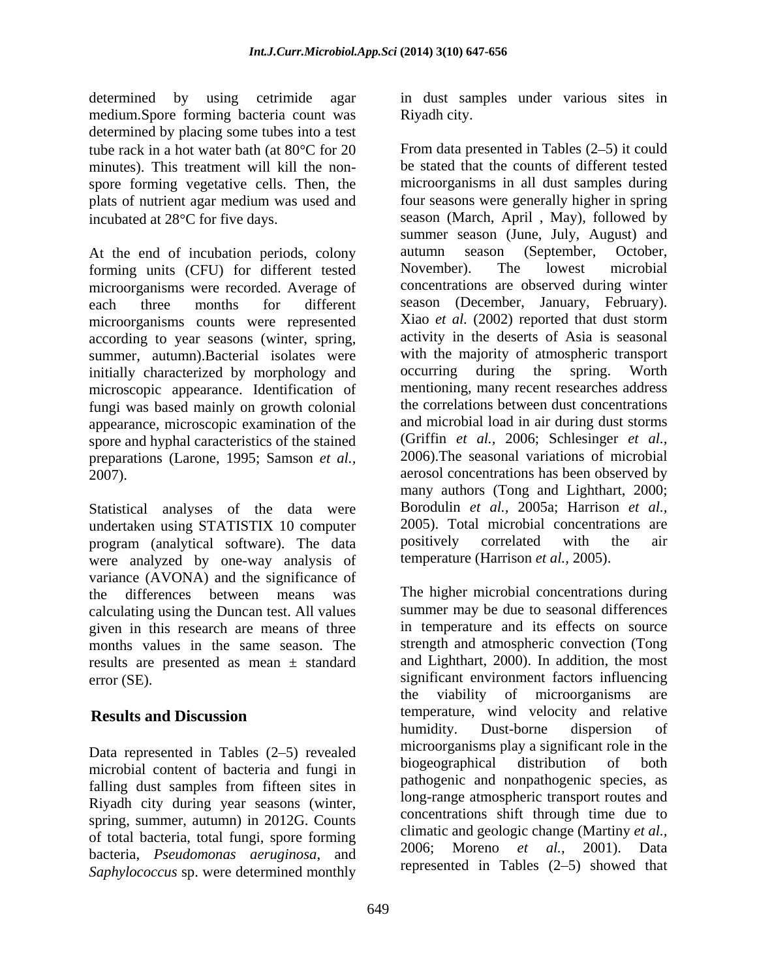determined by using cetrimide agar in dust samples under various sites in medium.Spore forming bacteria count was determined by placing some tubes into a test spore forming vegetative cells. Then, the plats of nutrient agar medium was used and

forming units (CFU) for different tested microorganisms were recorded. Average of microorganisms counts were represented according to year seasons (winter, spring, initially characterized by morphology and occurring during the spring. Worth microscopic appearance. Identification of fungi was based mainly on growth colonial appearance, microscopic examination of the spore and hyphal caracteristics of the stained preparations (Larone, 1995; Samson *et al.,*

Statistical analyses of the data were undertaken using STATISTIX 10 computer and the mortal concentration<br>program (analytical software) The data is positively correlated with the program (analytical software). The data were analyzed by one-way analysis of variance (AVONA) and the significance of calculating using the Duncan test. All values given in this research are means of three months values in the same season. The results are presented as mean ± standard

Data represented in Tables (2–5) revealed<br>increased baseable probability biogeographical distribution of both microbial content of bacteria and fungi in falling dust samples from fifteen sites in Riyadh city during year seasons (winter, spring, summer, autumn) in 2012G. Counts of total bacteria, total fungi, spore forming<br>hasteria pray agrueinant and the computation of the property of the property of the property of the property of the property of the property of the property of the property of bacteria, *Pseudomonas aeruginosa*, and *Saphylococcus* sp. were determined monthly

Riyadh city.

tube rack in a hot water bath (at  $80^{\circ}$ C for 20 From data presented in Tables (2–5) it could minutes). This treatment will kill the non- be stated that the counts of different tested incubated at 28<sup>o</sup>C for five days. Season (March, April, May), followed by At the end of incubation periods, colony autumn season (September, October, forming units (CEU) for different tested November). The lowest microbial each three months for different season (December, January, February). summer, autumn).Bacterial isolates were with the majority of atmospheric transport 2007). aerosol concentrations has been observed by microorganisms in all dust samples during four seasons were generally higher in spring summer season (June, July, August) and autumn season (September, October, November). The lowest microbial concentrations are observed during winter Xiao *et al.* (2002) reported that dust storm activity in the deserts of Asia is seasonal occurring during the spring. Worth mentioning, many recent researches address the correlations between dust concentrations and microbial load in air during dust storms (Griffin *et al.,* 2006; Schlesinger *et al.,* 2006).The seasonal variations of microbial many authors (Tong and Lighthart, 2000; Borodulin *et al.,* 2005a; Harrison *et al.,* 2005). Total microbial concentrations are positively correlated with the air temperature (Harrison *et al.,* 2005).

the differences between means was The higher microbial concentrations during error (SE). significant environment factors influencing **Results and Discussion** temperature, wind velocity and relative summer may be due to seasonal differences in temperature and its effects on source strength and atmospheric convection (Tong and Lighthart, 2000). In addition, the most the viability of microorganisms are humidity. Dust-borne dispersion of microorganisms play a significant role in the biogeographical distribution of both pathogenic and nonpathogenic species, as long-range atmospheric transport routes and concentrations shift through time due to climatic and geologic change (Martiny *et al.,* 2006; Moreno *et al.,* 2001). Data represented in Tables  $(2-5)$  showed that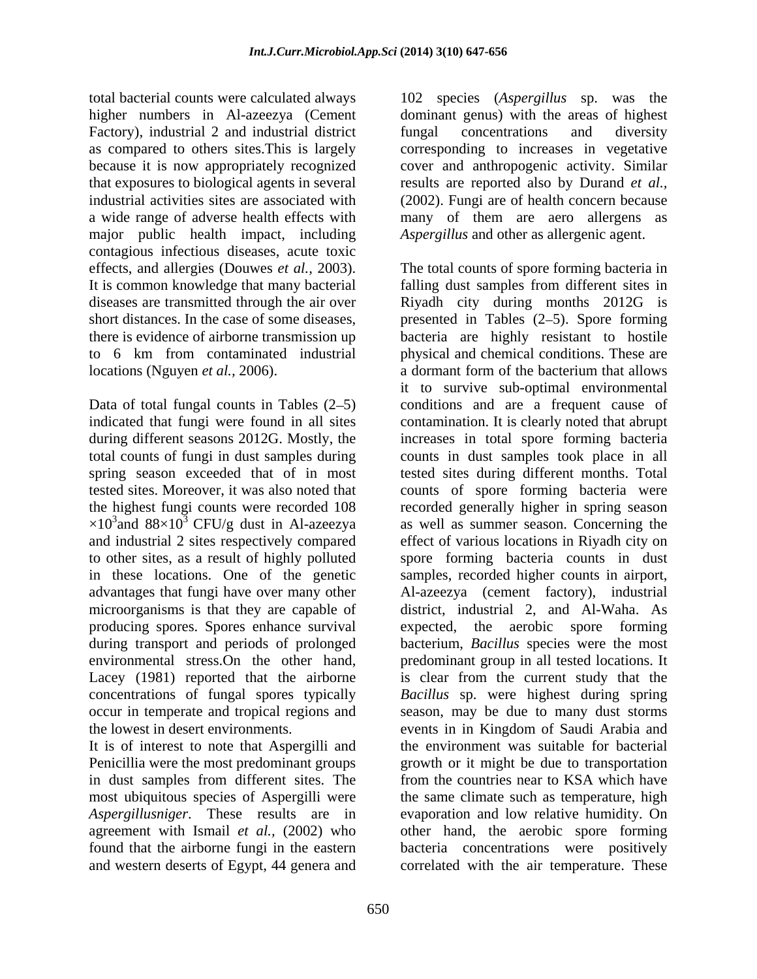higher numbers in Al-azeezya (Cement Factory), industrial 2 and industrial district fungal concentrations and diversity major public health impact, including contagious infectious diseases, acute toxic It is common knowledge that many bacterial locations (Nguyen *et al.*, 2006). a dormant form of the bacterium that allows

Data of total fungal counts in Tables  $(2-5)$ to other sites, as a result of highly polluted in these locations. One of the genetic during transport and periods of prolonged

Penicillia were the most predominant groups in dust samples from different sites. The

total bacterial counts were calculated always 102 species (*Aspergillus* sp. was the as compared to others sites.This is largely corresponding to increases in vegetative because it is now appropriately recognized cover and anthropogenic activity. Similar that exposures to biological agents in several results are reported also by Durand *et al.,* industrial activities sites are associated with (2002). Fungiare of health concern because a wide range of adverse health effects with many of them are aero allergens as dominant genus) with the areas of highest fungal concentrations and diversity *Aspergillus* and other as allergenic agent.

effects, and allergies (Douwes *et al.,* 2003). The total counts of spore forming bacteria in diseases are transmitted through the air over Riyadh city during months 2012G is short distances. In the case of some diseases, presented in Tables (2–5). Spore forming there is evidence of airborne transmission up bacteria are highly resistant to hostile to 6 km from contaminated industrial physical and chemical conditions.These are indicated that fungi were found in all sites contamination. It is clearly noted that abrupt during different seasons 2012G. Mostly, the increases in total spore forming bacteria total counts of fungi in dust samples during counts in dust samples took place in all spring season exceeded that of in most tested sites during different months. Total tested sites. Moreover, it was also noted that counts of spore forming bacteria were the highest fungi counts were recorded 108 recorded generally higher in spring season  $\times 10^3$  and 88 $\times 10^3$  CFU/g dust in Al-azeezya as well as summer season. Concerning the and industrial 2 sites respectively compared effect of various locations in Riyadh city on advantages that fungi have over many other Al-azeezya (cement factory), industrial microorganisms is that they are capable of district, industrial 2, and Al-Waha. As producing spores. Spores enhance survival expected, the aerobic spore forming environmental stress.On the other hand, predominant group in all tested locations. It Lacey (1981) reported that the airborne is clear from the current study that the concentrations of fungal spores typically *Bacillus* sp. were highest during spring occur in temperate and tropical regions and season, may be due to many dust storms the lowest in desert environments. events in in Kingdom of Saudi Arabia and It is of interest to note that Aspergilli and the environment was suitable for bacterial most ubiquitous species of Aspergilli were the same climate such as temperature, high *Aspergillusniger*. These results are in evaporation and low relative humidity. On agreement with Ismail *et al.,* (2002) who other hand, the aerobic spore forming found that the airborne fungi in the eastern bacteria concentrations were positively and western deserts of Egypt, 44 genera and correlated with the air temperature. Thesefalling dust samples from different sites in a dormant form of the bacterium that allows it to survive sub-optimal environmental conditions and are a frequent cause of spore forming bacteria counts in dust samples, recorded higher counts in airport, bacterium, *Bacillus* species were the most growth or it might be due to transportation from the countries near to KSA which have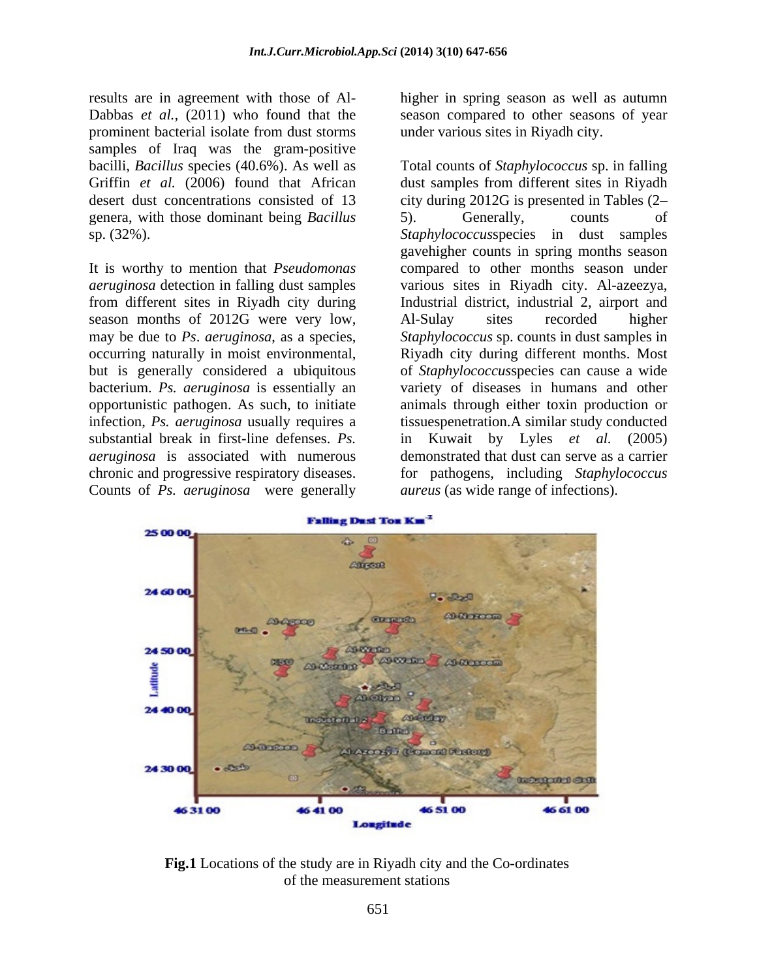results are in agreement with those of Al- higher in spring season as well as autumn Dabbas *et al.,* (2011) who found that the season compared to other seasons of year prominent bacterial isolate from dust storms samples of Iraq was the gram-positive genera, with those dominant being *Bacillus*

season months of 2012G were very low, Al-Sulay sites recorded higher bacterium. *Ps. aeruginosa* is essentially an substantial break in first-line defenses. *Ps.*  Counts of *Ps. aeruginosa* were generally

under various sites in Riyadh city.

bacilli, *Bacillus* species (40.6%). As well as Total counts of *Staphylococcus* sp. in falling Griffin *et al.* (2006) found that African dust samples from different sites in Riyadh desert dust concentrations consisted of 13 city during 2012G is presented in Tables (2 sp. (32%). *Staphylococcus*species in dust samples It is worthy to mention that *Pseudomonas*  compared to other months season under *aeruginosa* detection in falling dust samples various sites in Riyadh city. Al-azeezya, from different sites in Riyadh city during Industrial district, industrial 2, airport and may be due to *Ps*. *aeruginosa*, as a species, *Staphylococcus* sp. counts in dust samples in occurring naturally in moist environmental, Riyadh city during different months. Most but is generally considered a ubiquitous of *Staphylococcus*species can cause a wide opportunistic pathogen. As such, to initiate animals through either toxin production or infection, *Ps. aeruginosa* usually requires a tissuespenetration.A similar study conducted *aeruginosa* is associated with numerous demonstrated that dust can serve as a carrier chronic and progressive respiratory diseases. for pathogens, including *Staphylococcus*  5). Generally, counts of gavehigher counts in spring months season Al-Sulay sites recorded higher variety of diseases in humans and other Kuwait by Lyles *et al.* (2005) *aureus* (as wide range of infections).



**Fig.1** Locations of the study are in Riyadh city and the Co-ordinates of the measurement stations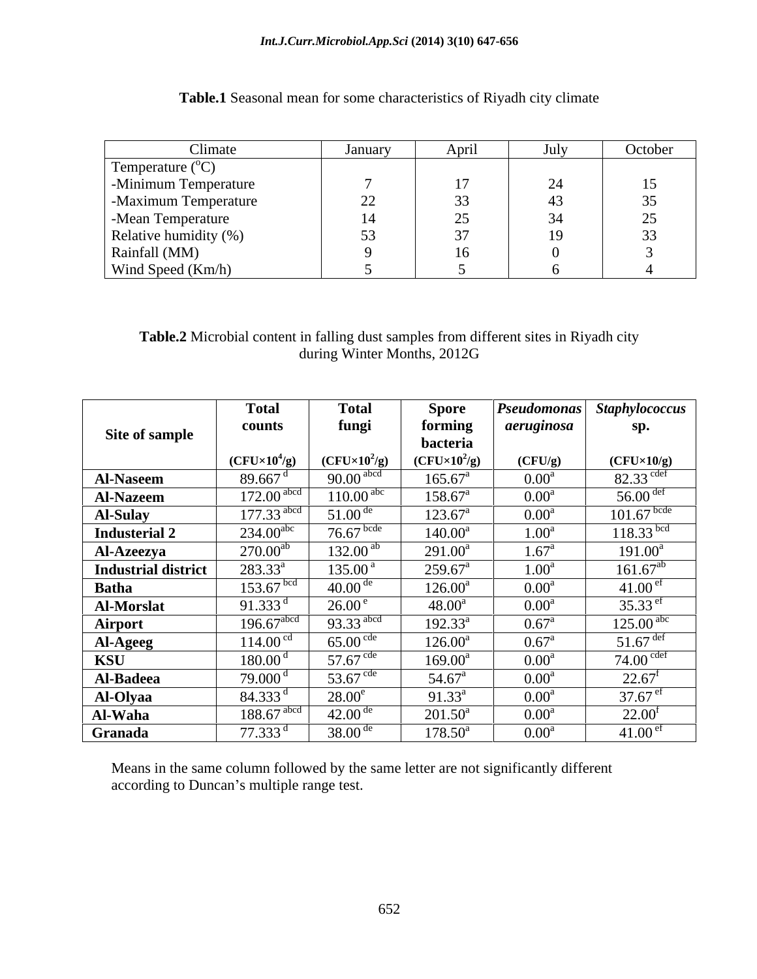### *Int.J.Curr.Microbiol.App.Sci* **(2014) 3(10) 647-656**

| Climate                   | January                              | April                                       | July                  | October |
|---------------------------|--------------------------------------|---------------------------------------------|-----------------------|---------|
| Temperature $(^{\circ}C)$ |                                      |                                             |                       |         |
| -Minimum Temperature      |                                      |                                             | $\sim$ $\lambda$<br>∼ | l J     |
| -Maximum Temperature      | $\Omega$<br>$\overline{\phantom{a}}$ | $\sim$<br>ັບ                                |                       | 35      |
| -Mean Temperature         |                                      | $\Delta$ $\tau$<br>$\overline{\phantom{a}}$ | $\sim$ $\lambda$      | 25      |
| Relative humidity (%)     | $\sim$<br>ັບ                         |                                             | ┸╱                    | 33      |
| Rainfall (MM)             |                                      | $\sim$<br>16                                |                       |         |
| Wind Speed (Km/h)         |                                      |                                             |                       |         |

**Table.1** Seasonal mean for some characteristics of Riyadh city climate

### **Table.2** Microbial content in falling dust samples from different sites in Riyadh city during Winter Months, 2012G

|                            | <b>Total</b>             | <b>Total</b>            | <b>Spore</b>        |                   | <b>Pseudomonas</b> Staphylococcus |
|----------------------------|--------------------------|-------------------------|---------------------|-------------------|-----------------------------------|
|                            | counts                   | fungi                   | forming             | aeruginosa        | sp.                               |
| Site of sample             |                          |                         | bacteria            |                   |                                   |
|                            | $(CFU\times10^4/g)$      | $(CFU\times10^2/g)$     | $(CFU\times10^2/g)$ | (CFU/g)           | $(CFU\times10/g)$                 |
| <b>Al-Naseem</b>           | 89.667 $d$               | $90.00$ <sup>abcd</sup> | $165.67^{\text{a}}$ | 0.00 <sup>a</sup> | $82.33$ <sup>cdef</sup>           |
| <b>Al-Nazeem</b>           | $172.00$ <sup>abc</sup>  | $110.00^{abc}$          | $158.67^{\circ}$    | 0.00 <sup>a</sup> | 56.00 $det$                       |
| <b>Al-Sulay</b>            | $177.33$ <sup>abco</sup> | $51.00$ <sup>de</sup>   | $123.67^{\text{a}}$ | 0.00 <sup>a</sup> | $101.67$ bcde                     |
| <b>Industerial 2</b>       | $234.00^{abc}$           | $76.67$ <sup>bcde</sup> | $140.00^a$          | 1.00 <sup>a</sup> | $118.33$ bcd                      |
| <b>Al-Azeezya</b>          | $270.00^{ab}$            | $132.00^{ab}$           | $291.00^a$          | $1.67^{\rm a}$    | $191.00^a$                        |
| <b>Industrial district</b> | $283.33^a$               | $135.00^{\circ}$        | $259.67^{\rm a}$    | 1.00 <sup>a</sup> | $161.67^{ab}$                     |
| <b>Batha</b>               | $153.67$ <sup>bcd</sup>  | $40.00$ <sup>de</sup>   | $126.00^a$          | 0.00 <sup>a</sup> | 41.00 <sup>er</sup>               |
| <b>Al-Morslat</b>          | 91.333 $^{\rm d}$        | $26.00^{\circ}$         | $48.00^{\rm a}$     | 0.00 <sup>a</sup> | 35.33 $\rm^{et}$                  |
| Airport                    | $196.67$ <sup>abcd</sup> | 93.33 abcd              | $192.33^a$          | $0.67^{\rm a}$    | $125.00$ <sup>abc</sup>           |
| Al-Ageeg                   | 114.00 <sup>cd</sup>     | $65.00$ cde             | $126.00^a$          | $0.67^{\rm a}$    | $51.67$ def                       |
| <b>KSU</b>                 | 180.00 <sup>d</sup>      | 57.67 $\rm{cde}$        | $169.00^a$          | 0.00 <sup>a</sup> | $74.00$ $\rm{cdef}$               |
| Al-Badeea                  | 79.000 <sup>d</sup>      | 53.67 $\rm{cde}$        | $54.67^{\circ}$     | 0.00 <sup>a</sup> | $22.67$ <sup>1</sup>              |
| <b>Al-Olyaa</b>            | 84.333 <sup>d</sup>      | $28.00^e$               | $91.33^a$           | 0.00 <sup>a</sup> | 37.67 $^{\rm et}$                 |
| Al-Waha                    | $188.67$ <sup>abc</sup>  | $42.00$ <sup>de</sup>   | $201.50^{\circ}$    | 0.00 <sup>a</sup> | 22.00 <sup>1</sup>                |
| Granada                    | $77.333$ <sup>d</sup>    | 38.00 <sup>de</sup>     | $178.50^a$          | 0.00 <sup>a</sup> | 41.00 <sup>et</sup>               |

Means in the same column followed by the same letter are not significantly different according to Duncan's multiple range test.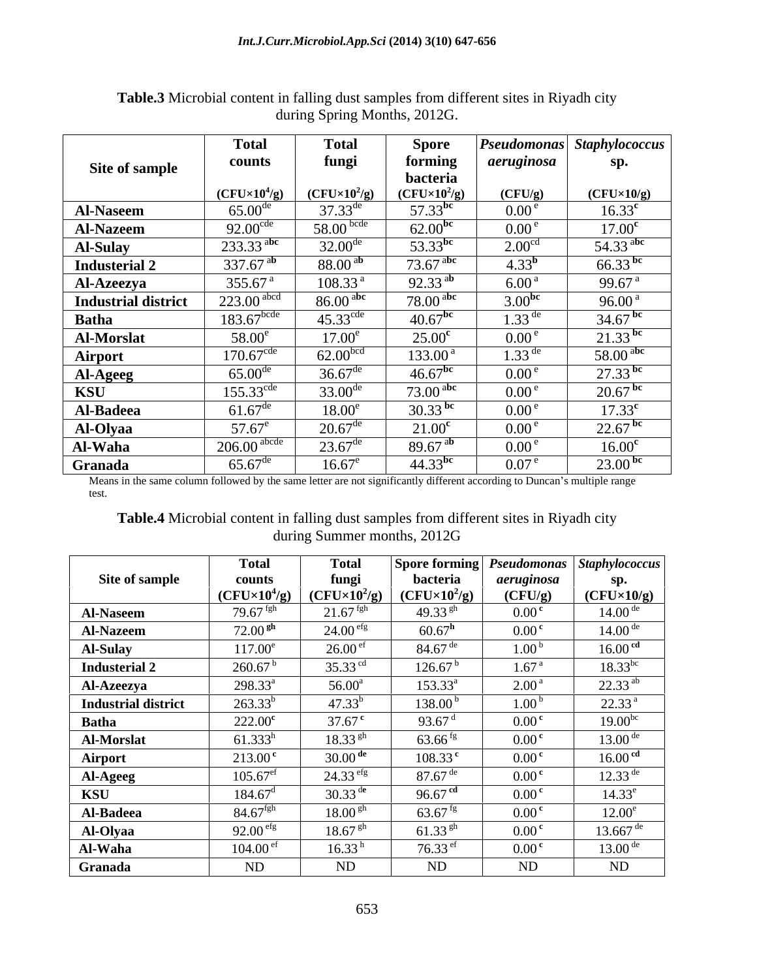|                            | <b>Total</b>              | <b>Total</b>                    | <b>Spore</b>           |                      | Pseudomonas Staphylococcus |
|----------------------------|---------------------------|---------------------------------|------------------------|----------------------|----------------------------|
| Site of sample             | counts                    | fungi                           | forming                | aeruginosa           | sp.                        |
|                            |                           |                                 | bacteria               |                      |                            |
|                            | $(CFU\times10^4/g)$       | $(CFU\times10^2/g)$             | $(CFU\times10^2/g)$    | (CFU/g)              | $(CFU\times10/g)$          |
| <b>Al-Naseem</b>           | $65.00^{\rm d}$           | $37.33^{\text{de}}$             | 57.33 $^{bc}$          | $0.00^{\circ}$       | $16.33^{\rm c}$            |
| <b>Al-Nazeem</b>           | $92.00^{\text{cde}}$      | 58.00 <sup>bcde</sup>           | $62.00^{bc}$           | 0.00 <sup>e</sup>    | 17.00 <sup>c</sup>         |
| <b>Al-Sulay</b>            | $233.33$ <sup>abc</sup>   | $32.00^{\text{de}}$             | 53.33 <sup>bc</sup>    | 2.00 <sup>cc</sup>   | 54.33 $\rm^{abc}$          |
| <b>Industerial 2</b>       | 337.67 $^{ab}$            | 88.00 <sup>ab</sup>             | $73.67$ <sup>abc</sup> | $4.33^{b}$           | 66.33 bc                   |
| <b>Al-Azeezya</b>          | 355.67 $^{a}$             | 108.33 <sup>a</sup>             | 92.33 $^{ab}$          | 6.00 <sup>a</sup>    | 99.67 <sup>a</sup>         |
| <b>Industrial district</b> | $223.00$ <sup>abcd</sup>  | $86.00$ <sup>abc</sup>          | $78.00$ <sup>abc</sup> | $3.00^{60}$          | 96.00 <sup>a</sup>         |
| <b>Batha</b>               | $183.67$ <sup>bcde</sup>  | $\overline{45.33}^{\text{cde}}$ | $40.67$ <sup>bc</sup>  | $1.33$ <sup>de</sup> | 34.67 $^{bc}$              |
| <b>Al-Morslat</b>          | $58.00^e$                 | $17.00^e$                       | $25.00^{\rm c}$        | 0.00 <sup>e</sup>    | $21.33$ bc                 |
| Airport                    | $170.67^{\text{cde}}$     | 62.00 <sup>bcd</sup>            | 133.00 <sup>a</sup>    | $1.33$ <sup>de</sup> | 58.00 $\rm^{abc}$          |
| Al-Ageeg                   | $65.00$ <sup>de</sup>     | $36.67$ <sup>de</sup>           | $46.67^{bc}$           | 0.00 <sup>e</sup>    | $27.33$ <sup>bc</sup>      |
| <b>KSU</b>                 | $155.33^{\text{cde}}$     | $33.00^{d}$                     | $73.00$ <sup>abc</sup> | 0.00 <sup>e</sup>    | $20.67$ <sup>bc</sup>      |
|                            | $61.67^{\text{de}}$       | $18.00^e$                       | 30.33 $^{bc}$          | 0.00 <sup>e</sup>    | $17.33^{\rm c}$            |
| Al-Badeea                  |                           |                                 |                        |                      |                            |
| Al-Olyaa                   | $57.67^e$                 | $20.67^{\text{de}}$             | 21.00 <sup>c</sup>     | 0.00 <sup>e</sup>    | $22.67$ <sup>bc</sup>      |
| Al-Waha                    | $206.00$ <sup>abcde</sup> | $23.67^{\text{dc}}$             | 89.67 $^{\rm ab}$      | 0.00 <sup>e</sup>    | 16.00 <sup>c</sup>         |
| Granada                    | $65.67^{\text{de}}$       | $16.67^e$                       | $44.33^{bc}$           | $0.07^{\circ}$       | $23.00^{bc}$               |

**Table.3** Microbial content in falling dust samples from different sites in Riyadh city during Spring Months, 2012G.

Means in the same column followed by the same letter are not significantly different according to Duncan's multiple range test. test.

**Table.4** Microbial content in falling dust samples from different sites in Riyadh city during Summer months, 2012G

| Site of sample<br><b>Al-Naseem</b><br><b>Al-Nazeem</b><br><b>Al-Sulay</b><br><b>Industerial 2</b><br><b>Al-Azeezya</b><br><b>Industrial district</b><br><b>Batha</b><br>Al-Morslat | counts<br>$(CFU\times10^4/g)$<br>$79.67$ fgh<br>72.00 <sup>gh</sup><br>$117.00^e$<br>260.67 <sup>b</sup><br>$298.33^a$<br>$263.33^{b}$ | fungi<br>$(CFU\times10^2/g)$<br>$21.67$ <sup>fgh</sup><br>24.00 <sup>erg</sup><br>26.00 <sup>ef</sup><br>35.33 $^{cd}$<br>$56.00^{\rm a}$ | bacteria<br>$\vert$ (CFU×10 <sup>2</sup> /g)<br>49.33 $\rm^{gh}$<br>$60.67^{\rm h}$<br>$84.67$ <sup>de</sup><br>$126.67^{\mathrm{b}}$<br>$153.33^a$ | aeruginosa<br>(CFU/g)<br>0.00 <sup>c</sup><br>0.00 <sup>c</sup><br>1.00 <sup>b</sup><br>1.67 <sup>a</sup><br>2.00 <sup>a</sup> | sp.<br>$(CFU\times10/g)$<br>$14.00^{\text{de}}$<br>$14.00$ <sup>de</sup><br>16.00 <sup>cd</sup><br>$18.33^{bc}$ |
|------------------------------------------------------------------------------------------------------------------------------------------------------------------------------------|----------------------------------------------------------------------------------------------------------------------------------------|-------------------------------------------------------------------------------------------------------------------------------------------|-----------------------------------------------------------------------------------------------------------------------------------------------------|--------------------------------------------------------------------------------------------------------------------------------|-----------------------------------------------------------------------------------------------------------------|
|                                                                                                                                                                                    |                                                                                                                                        |                                                                                                                                           |                                                                                                                                                     |                                                                                                                                |                                                                                                                 |
|                                                                                                                                                                                    |                                                                                                                                        |                                                                                                                                           |                                                                                                                                                     |                                                                                                                                |                                                                                                                 |
|                                                                                                                                                                                    |                                                                                                                                        |                                                                                                                                           |                                                                                                                                                     |                                                                                                                                |                                                                                                                 |
|                                                                                                                                                                                    |                                                                                                                                        |                                                                                                                                           |                                                                                                                                                     |                                                                                                                                |                                                                                                                 |
|                                                                                                                                                                                    |                                                                                                                                        |                                                                                                                                           |                                                                                                                                                     |                                                                                                                                |                                                                                                                 |
|                                                                                                                                                                                    |                                                                                                                                        |                                                                                                                                           |                                                                                                                                                     |                                                                                                                                |                                                                                                                 |
|                                                                                                                                                                                    |                                                                                                                                        |                                                                                                                                           |                                                                                                                                                     |                                                                                                                                | $22.33^{ab}$                                                                                                    |
|                                                                                                                                                                                    |                                                                                                                                        | $47.33^{b}$                                                                                                                               | 138.00 <sup>b</sup>                                                                                                                                 | 1.00 <sup>b</sup>                                                                                                              | 22.33 <sup>a</sup>                                                                                              |
|                                                                                                                                                                                    | $222.00^{\rm c}$                                                                                                                       | $37.67^{\circ}$                                                                                                                           | 93.67 <sup>d</sup>                                                                                                                                  | 0.00 <sup>c</sup>                                                                                                              | $19.00^{bc}$                                                                                                    |
|                                                                                                                                                                                    | $61.333^h$                                                                                                                             | $18.33^{ gh}$                                                                                                                             | $63.66$ <sup>fg</sup>                                                                                                                               | 0.00 <sup>c</sup>                                                                                                              | $13.00^{\text{de}}$                                                                                             |
| Airport                                                                                                                                                                            | $213.00^{\circ}$                                                                                                                       | $30.00$ <sup>de</sup>                                                                                                                     | $108.33^{\text{c}}$                                                                                                                                 | 0.00 <sup>c</sup>                                                                                                              | 16.00 <sup>cd</sup>                                                                                             |
| <b>Al-Ageeg</b>                                                                                                                                                                    | $105.67$ <sup>ef</sup>                                                                                                                 | $24.33$ efg                                                                                                                               | $87.67$ <sup>de</sup>                                                                                                                               | 0.00 <sup>c</sup>                                                                                                              | $12.33^{\text{de}}$                                                                                             |
| <b>KSU</b>                                                                                                                                                                         | $184.67^{\rm d}$                                                                                                                       | $30.33$ <sup>de</sup>                                                                                                                     | 96.67 $^{\rm cd}$                                                                                                                                   | 0.00 <sup>c</sup>                                                                                                              | $14.33^e$                                                                                                       |
| Al-Badeea                                                                                                                                                                          | $84.67$ <sup>fgh</sup>                                                                                                                 | 18.00 <sup>gh</sup>                                                                                                                       | 63.67 $\mathrm{^{fg}}$                                                                                                                              | 0.00 <sup>c</sup>                                                                                                              | 12.00 <sup>e</sup>                                                                                              |
| Al-Olyaa                                                                                                                                                                           | 92.00 <sup>efg</sup>                                                                                                                   | 18.67 <sup>gh</sup>                                                                                                                       | 61.33 $\rm ^{gh}$                                                                                                                                   | 0.00 <sup>c</sup>                                                                                                              | $13.667$ <sup>de</sup>                                                                                          |
| Al-Waha                                                                                                                                                                            | 104.00 <sup>e</sup>                                                                                                                    | $16.33^{h}$                                                                                                                               | 76.33 $\rm^{ef}$                                                                                                                                    | 0.00 <sup>c</sup>                                                                                                              | $13.00^{\text{de}}$                                                                                             |
| Granada                                                                                                                                                                            | ND                                                                                                                                     | ND                                                                                                                                        | ND                                                                                                                                                  | ND                                                                                                                             | ND                                                                                                              |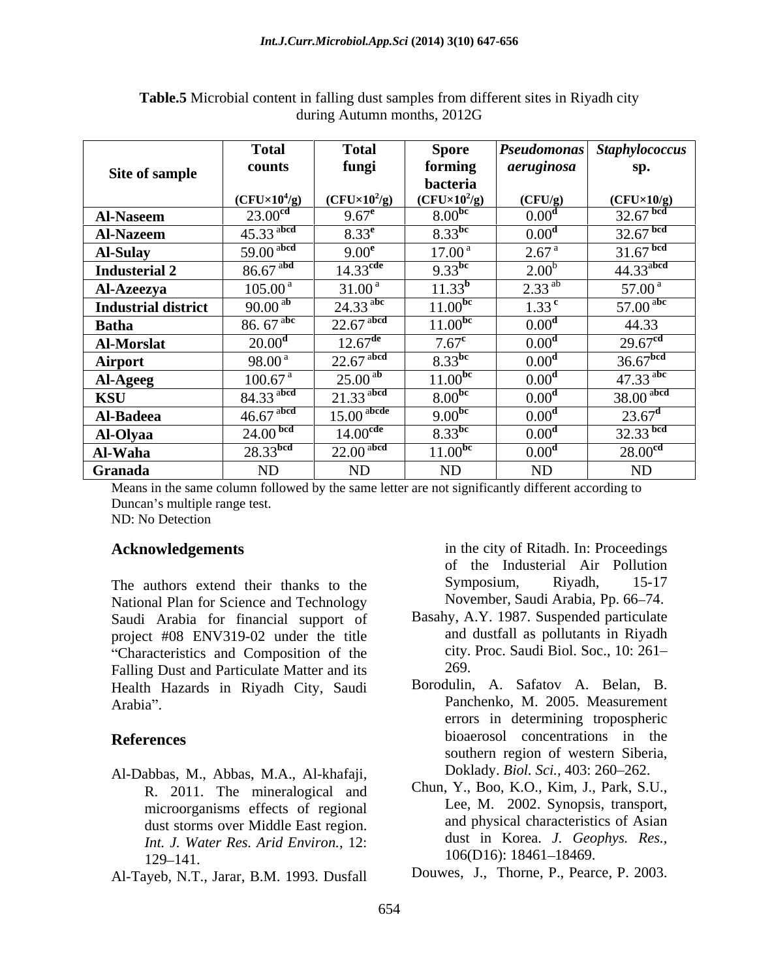|                            | <b>Total</b>            | <b>Total</b>                              | <b>Spore</b>        | <b>Pseudomonas</b> | <b>Staphylococcus</b>                         |
|----------------------------|-------------------------|-------------------------------------------|---------------------|--------------------|-----------------------------------------------|
| <b>Site of sample</b>      | counts                  | fungi                                     | forming             | aeruginosa         | sp.                                           |
|                            |                         |                                           | bacteria            |                    |                                               |
|                            | $(CFU\times10^4/g)$     | $\left( \text{CFU} \times 10^2/g \right)$ | $(CFU\times10^2/g)$ | (CFU/g)            | $\frac{\text{(CFU×10/g)}}{32.67 \text{ bed}}$ |
| <b>Al-Naseem</b>           | 23.00 <sup>cd</sup>     | $9.67^e$                                  | 8.00 <sup>pc</sup>  | 0.00 <sup>d</sup>  |                                               |
| <b>Al-Nazeem</b>           | $45.33$ <sup>abcd</sup> | $8.33^e$                                  | 8.33 <sup>bc</sup>  | 0.00 <sup>d</sup>  | $32.67$ bcd                                   |
| <b>Al-Sulay</b>            | 59.00 <sup>abcd</sup>   | 9.00 <sup>e</sup>                         | 17.00 <sup>a</sup>  | 2.67 <sup>a</sup>  | $31.67$ bcd                                   |
| <b>Industerial 2</b>       | $86.67$ <sup>abd</sup>  | $14.33$ <sup>cde</sup>                    | 9.33 <sup>bc</sup>  | 2.00 <sup>b</sup>  | $44.33$ <sup>abcd</sup>                       |
| <b>Al-Azeezya</b>          | $105.00^{\text{ a}}$    | 31.00 <sup>a</sup>                        | $11.33^{b}$         | $2.33^{ab}$        | $57.00^{\text{ a}}$                           |
| <b>Industrial district</b> | 90.00 <sup>al</sup>     | $24.33$ <sup>abc</sup>                    | $11.00^{b}$         | 1.33 <sup>c</sup>  | 57.00 $\rm^{abc}$                             |
| <b>Batha</b>               | 86. $67^{abc}$          | $22.67$ abcd                              | 11.00 <sup>bc</sup> | 0.00 <sup>d</sup>  | 44.33                                         |
| <b>Al-Morslat</b>          | 20.00 <sup>d</sup>      | $12.67^{\text{de}}$                       | 7.67 <sup>c</sup>   | 0.00 <sup>d</sup>  | 29.67 <sup>cd</sup>                           |
| Airport                    | $98.00^{\text{ a}}$     | $22.67$ <sup>abcd</sup>                   | 8.33 <sup>bc</sup>  | 0.00 <sup>d</sup>  | 36.67 <sup>bcd</sup>                          |
|                            | 100.67 <sup>a</sup>     | $25.00^{ab}$                              | 11.00 <sup>bc</sup> | 0.00 <sup>d</sup>  | 47.33 abc                                     |
| Al-Ageeg                   | 84.33 abcd              | $21.33$ <sup>abcd</sup>                   | 8.00 <sup>pc</sup>  | 0.00 <sup>d</sup>  | $38.00$ <sup>abcd</sup>                       |
| KSU                        |                         |                                           |                     |                    |                                               |
| Al-Badeea                  | $46.67$ <sup>abcd</sup> | $15.00$ <sup>abcde</sup>                  | 9.00 <sup>bc</sup>  | 0.00 <sup>d</sup>  | $23.67^{\rm d}$                               |
| Al-Olyaa                   | 24.00 <sup>bcd</sup>    | 14.00 <sup>cde</sup>                      | 8.33 <sup>bc</sup>  | 0.00 <sup>d</sup>  | $32.33$ bcd                                   |
| Al-Waha                    | 28.33 <sup>bcd</sup>    | $22.00$ <sup>abcd</sup>                   | $11.00^{b}$         | 0.00 <sup>d</sup>  | 28.00 <sup>cd</sup>                           |
| Granada                    | <b>ND</b>               | ND                                        | ND                  | ND                 | ND                                            |

**Table.5** Microbial content in falling dust samples from different sites in Riyadh city during Autumn months, 2012G

Means in the same column followed by the same letter are not significantly different according to Duncan's multiple range test. ND: No Detection

The authors extend their thanks to the Symposium, Riyadh, 15-17 National Plan for Science and Technology Saudi Arabia for financial support of project #08 ENV319-02 under the title "Characteristics and Composition of the city.<br>
Falling Dust and Particulate Matter and its 269. Falling Dust and Particulate Matter and its Health Hazards in Riyadh City, Saudi

- Al-Dabbas, M., Abbas, M.A., Al-khafaji, R. 2011. The mineralogical and microorganisms effects of regional dust storms over Middle East region. *Int. J. Water Res. Arid Environ.,* 12:  $129-141.$   $106(D16): 18461-18469.$
- Al-Tayeb, N.T., Jarar, B.M. 1993. Dusfall

**Acknowledgements** in the city of Ritadh. In: Proceedings of the Industerial Air Pollution Symposium, Riyadh, 15-17 November, Saudi Arabia, Pp. 66–74.

- Basahy, A.Y. 1987. Suspended particulate and dustfall as pollutants in Riyadh city. Proc. Saudi Biol. Soc., 10: 261 269.
- Arabia". Panchenko, M. 2005. Measurement **References** bioaerosol concentrations in the Borodulin, A. Safatov A. Belan, B. errors in determining tropospheric southern region of western Siberia, Doklady. *Biol. Sci.*, 403: 260-262.
	- Chun, Y., Boo, K.O., Kim, J., Park, S.U., Lee, M. 2002. Synopsis, transport, and physical characteristics of Asian dust in Korea. *J. Geophys. Res.,* 106(D16): 18461–18469.

Douwes, J., Thorne, P., Pearce, P. 2003.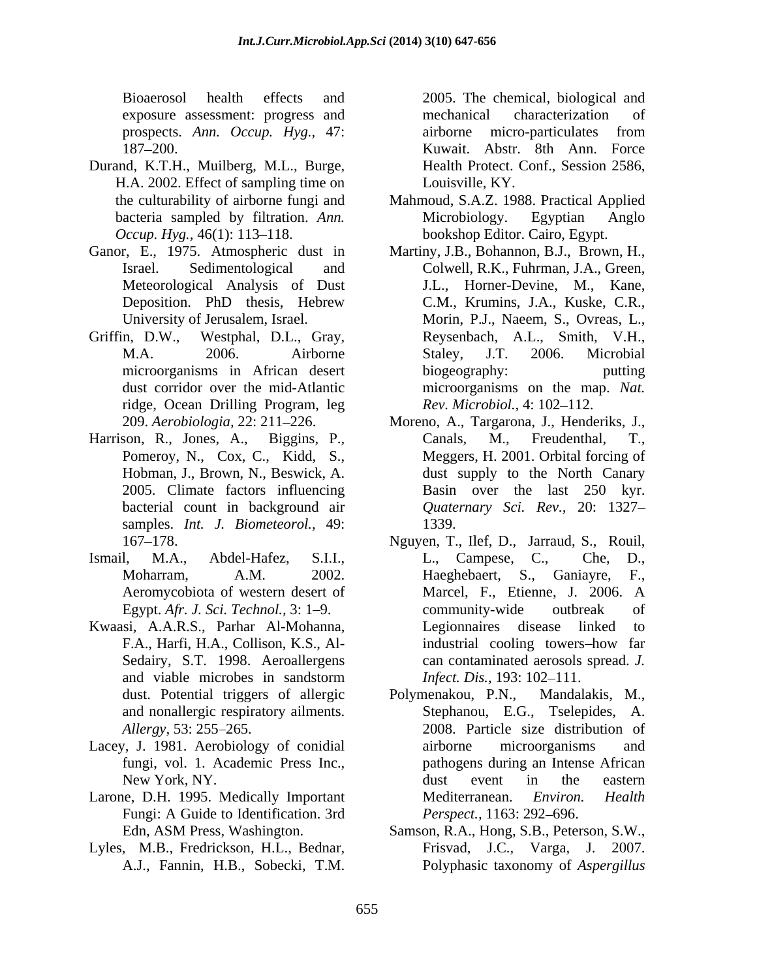exposure assessment: progress and mechanical characterization of prospects. *Ann. Occup. Hyg.,* 47:

- Durand, K.T.H., Muilberg, M.L., Burge, H.A. 2002. Effect of sampling time on
- Ganor, E., 1975. Atmospheric dust in Meteorological Analysis of Dust
- ridge, Ocean Drilling Program, leg
- Harrison, R., Jones, A., Biggins, P., Canals, M., Freudenthal, T., Pomeroy, N., Cox, C., Kidd, S., samples. *Int. J. Biometeorol.,* 49:
- 
- Sedairy, S.T. 1998. Aeroallergens and viable microbes in sandstorm *Infect. Dis.*, 193: 102–111.
- Lacey, J. 1981. Aerobiology of conidial airborne microorganisms and
- Larone, D.H. 1995. Medically Important Mediterranean. Environ. Health Fungi: A Guide to Identification. 3rd
- Lyles, M.B., Fredrickson, H.L., Bednar, Frisvad, J.C., Varga, J. 2007.

Bioaerosol health effects and 2005. The chemical, biological and 187 200. Kuwait. Abstr. 8th Ann. Force mechanical characterization of airborne micro-particulates from Health Protect. Conf., Session 2586, Louisville, KY.

- the culturability of airborne fungi and Mahmoud, S.A.Z. 1988. Practical Applied bacteria sampled by filtration. *Ann*. **Microbiology.** Egyptian Anglo *Occup. Hyg.*, 46(1): 113–118. bookshop Editor. Cairo, Egypt. Microbiology. Egyptian Anglo
- Israel. Sedimentological and Colwell, R.K., Fuhrman, J.A., Green, Deposition. PhD thesis, Hebrew C.M., Krumins, J.A., Kuske, C.R., University of Jerusalem, Israel. Morin, P.J., Naeem, S., Ovreas, L., Griffin, D.W., Westphal, D.L., Gray, Reysenbach, A.L., Smith, V.H., M.A. 2006. Airborne Staley, J.T. 2006. Microbial microorganisms in African desert biogeography: butting dust corridor over the mid-Atlantic microorganisms on the map. *Nat.*  Martiny, J.B., Bohannon, B.J., Brown, H., J.L., Horner-Devine, M., Kane, C.M., Krumins, J.A., Kuske, C.R., Staley, J.T. 2006. Microbial biogeography: putting *Rev. Microbiol., 4:* 102-112.
	- 209. *Aerobiologia,* 22: 211 226. Moreno, A., Targarona, J., Henderiks, J., Hobman, J., Brown, N., Beswick, A. dust supply to the North Canary 2005. Climate factors influencing Basin over the last 250 kyr. bacterial count in background air *Quaternary Sci. Rev.,* 20: 1327 Canals, M., Freudenthal, T., Meggers, H. 2001. Orbital forcing of 1339.
- 167 178. Nguyen, T., Ilef, D., Jarraud, S., Rouil, Ismail, M.A., Abdel-Hafez, S.I.I., L., Campese, C., Che, D., Moharram, A.M. 2002. Haeghebaert, S., Ganiayre, F., Aeromycobiota of western desert of Marcel, F., Etienne, J. 2006. A Egypt. *Afr. J. Sci. Technol.*, 3: 1–9. community-wide outbreak of Kwaasi, A.A.R.S., Parhar Al-Mohanna, Legionnaires disease linked to Kwaasi, A.A.R.S., Parhar Al-Mohanna, Legionnaires disease linked to<br>F.A., Harfi, H.A., Collison, K.S., Al- industrial cooling towers–how far community-wide outbreak of Legionnaires disease linked to can contaminated aerosols spread. *J. Infect. Dis.,* 193: 102–111.
	- dust. Potential triggers of allergic Polymenakou, P.N., Mandalakis, M., dust. Potential triggers of allergic Polymenakou, P.N., Mandalakis, M., and nonallergic respiratory ailments. Stephanou, E.G., Tselepides, A. Allergy, 53: 255–265. 2008. Particle size distribution of fungi, vol. 1. Academic Press Inc., pathogens during an Intense African New York, NY.  $\qquad \qquad \text{dust} \qquad \text{event} \qquad \text{in} \qquad \text{the} \qquad \text{eastern}$ airborne microorganisms and dust event in the eastern Mediterranean. *Environ. Health Perspect.,* 1163: 292–696.
	- Edn, ASM Press, Washington. Samson, R.A., Hong, S.B., Peterson, S.W., A.J., Fannin, H.B., Sobecki, T.M. Polyphasic taxonomy of *Aspergillus*